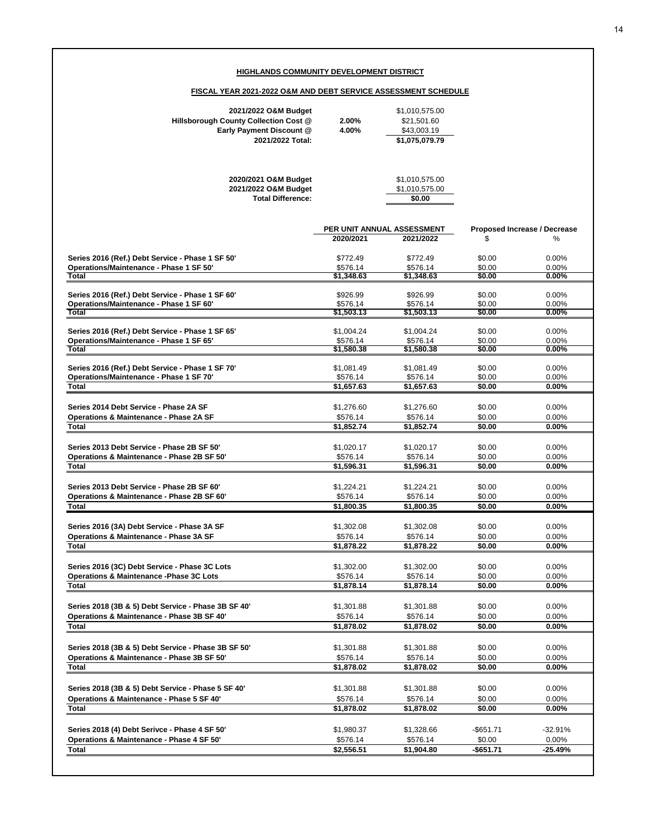## **HIGHLANDS COMMUNITY DEVELOPMENT DISTRICT**

## **FISCAL YEAR 2021-2022 O&M AND DEBT SERVICE ASSESSMENT SCHEDULE**

| 2021/2022 O&M Budget<br>Hillsborough County Collection Cost @<br>Early Payment Discount @<br>2021/2022 Total: | 2.00%<br>4.00%                     | \$1,010,575.00<br>\$21,501.60<br>\$43,003.19<br>\$1,075,079.79 |                                         |                               |  |  |
|---------------------------------------------------------------------------------------------------------------|------------------------------------|----------------------------------------------------------------|-----------------------------------------|-------------------------------|--|--|
| 2020/2021 O&M Budget<br>2021/2022 O&M Budget<br><b>Total Difference:</b>                                      |                                    | \$1,010,575.00<br>\$1,010,575.00<br>\$0.00                     |                                         |                               |  |  |
|                                                                                                               | 2020/2021                          | PER UNIT ANNUAL ASSESSMENT<br>2021/2022                        | Proposed Increase / Decrease<br>\$<br>℅ |                               |  |  |
| Series 2016 (Ref.) Debt Service - Phase 1 SF 50'<br>Operations/Maintenance - Phase 1 SF 50'<br>Total          | \$772.49<br>\$576.14<br>\$1,348.63 | \$772.49<br>\$576.14<br>\$1,348.63                             | \$0.00<br>\$0.00<br>\$0.00              | $0.00\%$<br>0.00%<br>$0.00\%$ |  |  |
| Series 2016 (Ref.) Debt Service - Phase 1 SF 60'<br>Operations/Maintenance - Phase 1 SF 60'                   | \$926.99<br>\$576.14               | \$926.99<br>\$576.14                                           | \$0.00<br>\$0.00                        | 0.00%<br>0.00%                |  |  |
| Total                                                                                                         | \$1,503.13                         | \$1,503.13                                                     | \$0.00                                  | $0.00\%$                      |  |  |
| Series 2016 (Ref.) Debt Service - Phase 1 SF 65'<br>Operations/Maintenance - Phase 1 SF 65'                   | \$1,004.24<br>\$576.14             | \$1,004.24<br>\$576.14                                         | \$0.00<br>\$0.00                        | 0.00%<br>0.00%                |  |  |
| <b>Total</b>                                                                                                  | \$1,580.38                         | \$1,580.38                                                     | \$0.00                                  | $0.00\%$                      |  |  |
| Series 2016 (Ref.) Debt Service - Phase 1 SF 70'<br>Operations/Maintenance - Phase 1 SF 70'                   | \$1,081.49<br>\$576.14             | \$1,081.49<br>\$576.14                                         | \$0.00<br>\$0.00                        | 0.00%<br>0.00%                |  |  |
| <b>Total</b>                                                                                                  | \$1,657.63                         | \$1,657.63                                                     | \$0.00                                  | 0.00%                         |  |  |
| Series 2014 Debt Service - Phase 2A SF                                                                        | \$1,276.60                         | \$1,276.60                                                     | \$0.00                                  | 0.00%                         |  |  |
| <b>Operations &amp; Maintenance - Phase 2A SF</b><br>Total                                                    | \$576.14<br>\$1,852.74             | \$576.14<br>\$1,852.74                                         | \$0.00<br>\$0.00                        | 0.00%<br>0.00%                |  |  |
|                                                                                                               |                                    |                                                                |                                         |                               |  |  |
| Series 2013 Debt Service - Phase 2B SF 50'                                                                    | \$1,020.17                         | \$1,020.17                                                     | \$0.00                                  | 0.00%                         |  |  |
| Operations & Maintenance - Phase 2B SF 50'<br><b>Total</b>                                                    | \$576.14<br>\$1,596.31             | \$576.14<br>\$1,596.31                                         | \$0.00<br>\$0.00                        | 0.00%<br>0.00%                |  |  |
|                                                                                                               |                                    |                                                                |                                         |                               |  |  |
| Series 2013 Debt Service - Phase 2B SF 60'                                                                    | \$1,224.21                         | \$1,224.21                                                     | \$0.00                                  | 0.00%                         |  |  |
| Operations & Maintenance - Phase 2B SF 60'                                                                    | \$576.14                           | \$576.14                                                       | \$0.00                                  | 0.00%                         |  |  |
| <b>Total</b>                                                                                                  | \$1,800.35                         | \$1,800.35                                                     | \$0.00                                  | 0.00%                         |  |  |
| Series 2016 (3A) Debt Service - Phase 3A SF                                                                   | \$1,302.08                         | \$1,302.08                                                     | \$0.00                                  | 0.00%                         |  |  |
| <b>Operations &amp; Maintenance - Phase 3A SF</b>                                                             | \$576.14                           | \$576.14                                                       | \$0.00                                  | 0.00%                         |  |  |
| Total                                                                                                         | \$1,878.22                         | \$1,878.22                                                     | \$0.00                                  | 0.00%                         |  |  |
| Series 2016 (3C) Debt Service - Phase 3C Lots<br><b>Operations &amp; Maintenance - Phase 3C Lots</b>          | \$1,302.00<br>\$576.14             | \$1,302.00<br>\$576.14                                         | \$0.00<br>\$0.00                        | $0.00\%$<br>0.00%             |  |  |
| <b>Total</b>                                                                                                  | \$1,878.14                         | \$1,878.14                                                     | \$0.00                                  | $0.00\%$                      |  |  |
|                                                                                                               |                                    |                                                                |                                         |                               |  |  |
| Series 2018 (3B & 5) Debt Service - Phase 3B SF 40'                                                           | \$1,301.88                         | \$1,301.88                                                     | \$0.00                                  | 0.00%                         |  |  |
| Operations & Maintenance - Phase 3B SF 40'<br><b>Total</b>                                                    | \$576.14<br>\$1,878.02             | \$576.14<br>\$1,878.02                                         | \$0.00<br>\$0.00                        | 0.00%<br>$0.00\%$             |  |  |
|                                                                                                               |                                    |                                                                |                                         |                               |  |  |
| Series 2018 (3B & 5) Debt Service - Phase 3B SF 50'                                                           | \$1,301.88                         | \$1,301.88                                                     | \$0.00                                  | 0.00%                         |  |  |
| Operations & Maintenance - Phase 3B SF 50'                                                                    | \$576.14                           | \$576.14                                                       | \$0.00                                  | 0.00%                         |  |  |
| Total                                                                                                         | \$1,878.02                         | \$1,878.02                                                     | \$0.00                                  | 0.00%                         |  |  |
| Series 2018 (3B & 5) Debt Service - Phase 5 SF 40'                                                            | \$1,301.88                         | \$1,301.88                                                     | \$0.00                                  | $0.00\%$                      |  |  |
| Operations & Maintenance - Phase 5 SF 40'                                                                     | \$576.14                           | \$576.14                                                       | \$0.00                                  | $0.00\%$                      |  |  |
| Total                                                                                                         | \$1,878.02                         | \$1,878.02                                                     | \$0.00                                  | 0.00%                         |  |  |
| Series 2018 (4) Debt Serivce - Phase 4 SF 50'                                                                 | \$1,980.37                         | \$1,328.66                                                     | -\$651.71                               | -32.91%                       |  |  |
| Operations & Maintenance - Phase 4 SF 50'                                                                     | \$576.14                           | \$576.14                                                       | \$0.00                                  | 0.00%                         |  |  |
| Total                                                                                                         | \$2,556.51                         | \$1,904.80                                                     | -\$651.71                               | -25.49%                       |  |  |